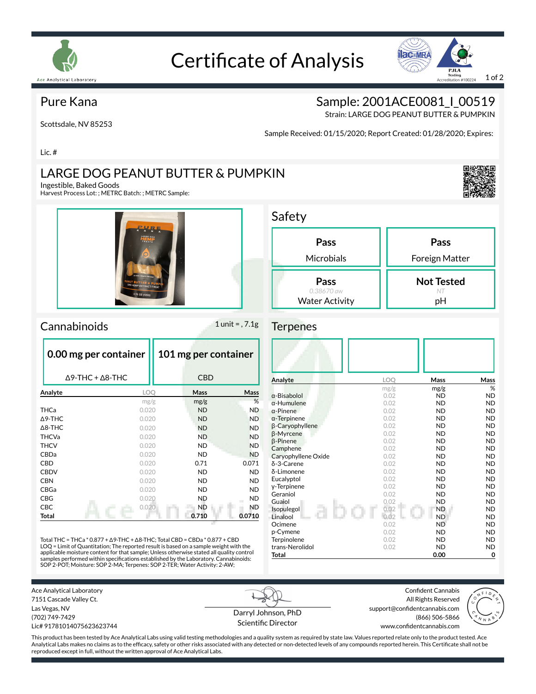

# Certificate of Analysis



### Pure Kana

Scottsdale, NV 85253

Sample: 2001ACE0081 | 00519

Strain: LARGE DOG PEANUT BUTTER & PUMPKIN

Sample Received: 01/15/2020; Report Created: 01/28/2020; Expires:

Lic. #

### LARGE DOG PEANUT BUTTER & PUMPKIN

Ingestible, Baked Goods

Harvest Process Lot: ; METRC Batch: ; METRC Sample:





### $Camabinoids$  1 unit = , 7.1g

| 0.00 mg per container           |       | 101 mg per container |             |  |
|---------------------------------|-------|----------------------|-------------|--|
| $\Delta$ 9-THC + $\Delta$ 8-THC |       | <b>CBD</b>           |             |  |
| Analyte                         | LOO   | Mass                 | <b>Mass</b> |  |
|                                 | mg/g  | mg/g                 | %           |  |
| THCa                            | 0.020 |                      | <b>ND</b>   |  |
| $\triangle$ 9-THC               | 0.020 |                      | <b>ND</b>   |  |
| $\triangle$ 8-THC               | 0.020 |                      | <b>ND</b>   |  |
| <b>THCVa</b>                    | 0.020 |                      | <b>ND</b>   |  |
| <b>THCV</b>                     | 0.020 |                      | <b>ND</b>   |  |
| CBDa                            | 0.020 | <b>ND</b>            | <b>ND</b>   |  |
| CBD                             | 0.020 | 0.71                 | 0.071       |  |
| <b>CBDV</b>                     | 0.020 | <b>ND</b>            | <b>ND</b>   |  |
| <b>CBN</b>                      | 0.020 | ND.                  | <b>ND</b>   |  |
| CBGa                            | 0.020 | <b>ND</b>            | <b>ND</b>   |  |
| CBG                             | 0.020 | ND                   | <b>ND</b>   |  |
| CBC                             | 0.020 | <b>ND</b>            | ND.         |  |
| Total                           |       | 0.710                | 0.0710      |  |

Total THC = THCa \* 0.877 + ∆9-THC + ∆8-THC; Total CBD = CBDa \* 0.877 + CBD LOQ = Limit of Quantitation; The reported result is based on a sample weight with the applicable moisture content for that sample; Unless otherwise stated all quality control<br>samples performed within specifications established by the Laboratory. Cannabinoids:<br>SOP 2-POT; Moisture: SOP 2-MA; Terpenes: SOP 2-T

| Safety                                      |                         |
|---------------------------------------------|-------------------------|
| Pass<br>Microbials                          | Pass<br>Foreign Matter  |
| Pass<br>0.38670 aw<br><b>Water Activity</b> | <b>Not Tested</b><br>рH |

#### **Terpenes**

| Analyte                | LOQ  | Mass      | Mass      |
|------------------------|------|-----------|-----------|
|                        | mg/g | mg/g      | %         |
| $\alpha$ -Bisabolol    | 0.02 | <b>ND</b> | <b>ND</b> |
| $\alpha$ -Humulene     | 0.02 | <b>ND</b> | <b>ND</b> |
| $\alpha$ -Pinene       | 0.02 | <b>ND</b> | <b>ND</b> |
| $\alpha$ -Terpinene    | 0.02 | <b>ND</b> | <b>ND</b> |
| <b>B-Caryophyllene</b> | 0.02 | <b>ND</b> | <b>ND</b> |
| <b>B-Myrcene</b>       | 0.02 | <b>ND</b> | <b>ND</b> |
| $\beta$ -Pinene        | 0.02 | <b>ND</b> | <b>ND</b> |
| Camphene               | 0.02 | <b>ND</b> | <b>ND</b> |
| Caryophyllene Oxide    | 0.02 | <b>ND</b> | <b>ND</b> |
| δ-3-Carene             | 0.02 | <b>ND</b> | <b>ND</b> |
| δ-Limonene             | 0.02 | <b>ND</b> | <b>ND</b> |
| Eucalyptol             | 0.02 | <b>ND</b> | <b>ND</b> |
| y-Terpinene            | 0.02 | <b>ND</b> | <b>ND</b> |
| Geraniol               | 0.02 | <b>ND</b> | <b>ND</b> |
| Guaiol                 | 0.02 | <b>ND</b> | <b>ND</b> |
| Isopulegol             | 0.02 | <b>ND</b> | <b>ND</b> |
| Linalool               | 0.02 | <b>ND</b> | <b>ND</b> |
| Ocimene                | 0.02 | <b>ND</b> | <b>ND</b> |
| p-Cymene               | 0.02 | <b>ND</b> | <b>ND</b> |
| Terpinolene            | 0.02 | <b>ND</b> | <b>ND</b> |
| trans-Nerolidol        | 0.02 | <b>ND</b> | <b>ND</b> |
| <b>Total</b>           |      | 0.00      | 0         |

Ace Analytical Laboratory 7151 Cascade Valley Ct. Las Vegas, NV (702) 749-7429

Lic# 91781014075623623744

Darryl Johnson, PhD Scientific Director

Confident Cannabis All Rights Reserved support@confidentcannabis.com (866) 506-5866



www.confidentcannabis.com

This product has been tested by Ace Analytical Labs using valid testing methodologies and a quality system as required by state law. Values reported relate only to the product tested. Ace Analytical Labs makes no claims as to the efficacy, safety or other risks associated with any detected or non-detected levels of any compounds reported herein. This Certificate shall not be reproduced except in full, without the written approval of Ace Analytical Labs.